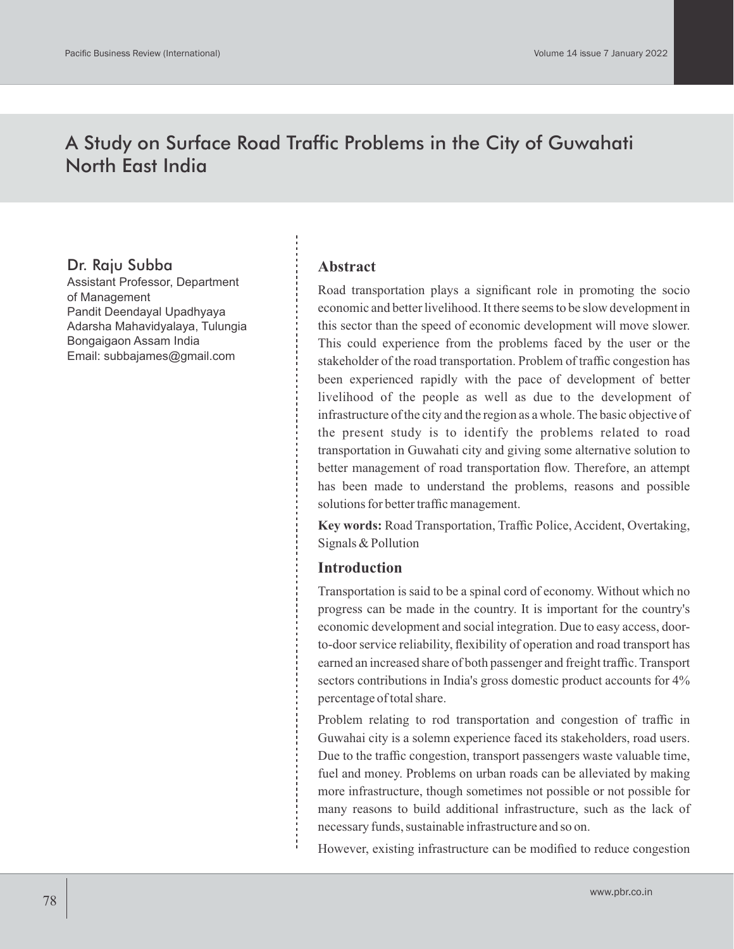# A Study on Surface Road Traffic Problems in the City of Guwahati North East India

# Dr. Raju Subba

Assistant Professor, Department of Management Pandit Deendayal Upadhyaya Adarsha Mahavidyalaya, Tulungia Bongaigaon Assam India Email: subbajames@gmail.com

### **Abstract**

Road transportation plays a significant role in promoting the socio economic and better livelihood. It there seems to be slow development in this sector than the speed of economic development will move slower. This could experience from the problems faced by the user or the stakeholder of the road transportation. Problem of traffic congestion has been experienced rapidly with the pace of development of better livelihood of the people as well as due to the development of infrastructure of the city and the region as a whole. The basic objective of the present study is to identify the problems related to road transportation in Guwahati city and giving some alternative solution to better management of road transportation flow. Therefore, an attempt has been made to understand the problems, reasons and possible solutions for better traffic management.

**Key words:** Road Transportation, Traffic Police, Accident, Overtaking, Signals & Pollution

## **Introduction**

Transportation is said to be a spinal cord of economy. Without which no progress can be made in the country. It is important for the country's economic development and social integration. Due to easy access, doorto-door service reliability, flexibility of operation and road transport has earned an increased share of both passenger and freight traffic. Transport sectors contributions in India's gross domestic product accounts for 4% percentage of total share.

Problem relating to rod transportation and congestion of traffic in Guwahai city is a solemn experience faced its stakeholders, road users. Due to the traffic congestion, transport passengers waste valuable time, fuel and money. Problems on urban roads can be alleviated by making more infrastructure, though sometimes not possible or not possible for many reasons to build additional infrastructure, such as the lack of necessary funds, sustainable infrastructure and so on.

However, existing infrastructure can be modified to reduce congestion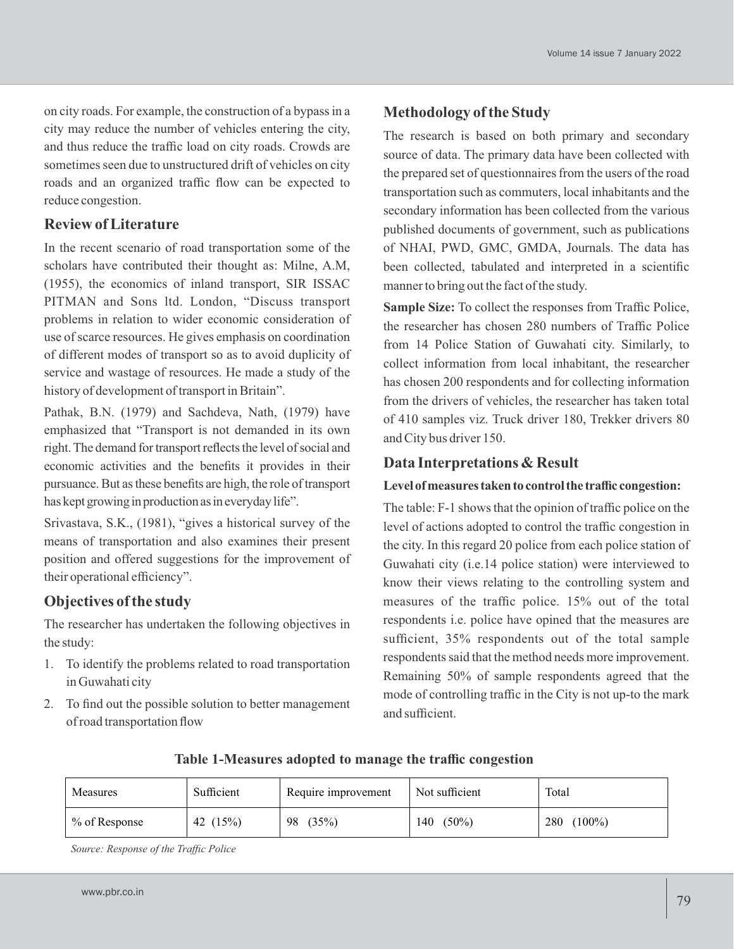on city roads. For example, the construction of a bypass in a city may reduce the number of vehicles entering the city, and thus reduce the traffic load on city roads. Crowds are sometimes seen due to unstructured drift of vehicles on city roads and an organized traffic flow can be expected to reduce congestion.

## **Review of Literature**

In the recent scenario of road transportation some of the scholars have contributed their thought as: Milne, A.M, (1955), the economics of inland transport, SIR ISSAC PITMAN and Sons ltd. London, "Discuss transport problems in relation to wider economic consideration of use of scarce resources. He gives emphasis on coordination of different modes of transport so as to avoid duplicity of service and wastage of resources. He made a study of the history of development of transport in Britain".

Pathak, B.N. (1979) and Sachdeva, Nath, (1979) have emphasized that "Transport is not demanded in its own right. The demand for transport reflects the level of social and economic activities and the benefits it provides in their pursuance. But as these benefits are high, the role of transport has kept growing in production as in everyday life".

Srivastava, S.K., (1981), "gives a historical survey of the means of transportation and also examines their present position and offered suggestions for the improvement of their operational efficiency".

## **Objectives of the study**

The researcher has undertaken the following objectives in the study:

- 1. To identify the problems related to road transportation in Guwahati city
- 2. To find out the possible solution to better management of road transportation flow

## **Methodology of the Study**

The research is based on both primary and secondary source of data. The primary data have been collected with the prepared set of questionnaires from the users of the road transportation such as commuters, local inhabitants and the secondary information has been collected from the various published documents of government, such as publications of NHAI, PWD, GMC, GMDA, Journals. The data has been collected, tabulated and interpreted in a scientific manner to bring out the fact of the study.

**Sample Size:** To collect the responses from Traffic Police, the researcher has chosen 280 numbers of Traffic Police from 14 Police Station of Guwahati city. Similarly, to collect information from local inhabitant, the researcher has chosen 200 respondents and for collecting information from the drivers of vehicles, the researcher has taken total of 410 samples viz. Truck driver 180, Trekker drivers 80 and City bus driver 150.

## **Data Interpretations & Result**

### Level of measures taken to control the traffic congestion:

The table: F-1 shows that the opinion of traffic police on the level of actions adopted to control the traffic congestion in the city. In this regard 20 police from each police station of Guwahati city (i.e.14 police station) were interviewed to know their views relating to the controlling system and measures of the traffic police. 15% out of the total respondents i.e. police have opined that the measures are sufficient, 35% respondents out of the total sample respondents said that the method needs more improvement. Remaining 50% of sample respondents agreed that the mode of controlling traffic in the City is not up-to the mark and sufficient.

| Measures         | Sufficient | Require improvement | Not sufficient | Total     |
|------------------|------------|---------------------|----------------|-----------|
| $\%$ of Response | (15%)      | 98                  | $(50\%)$       | $(100\%)$ |
|                  | 42         | (35%)               | 140            | 280       |

#### **Table 1-Measures adopted to manage the traffic congestion**

*Source: Response of the Traffic Police*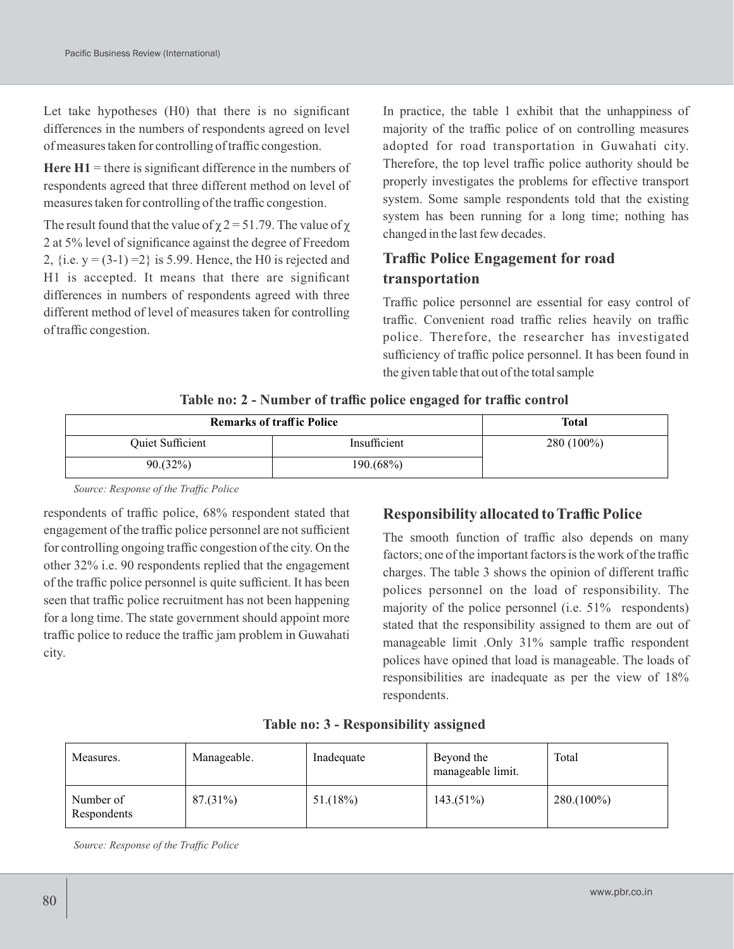Let take hypotheses (H0) that there is no significant differences in the numbers of respondents agreed on level of measures taken for controlling of traffic congestion.

**Here**  $H1$  = there is significant difference in the numbers of respondents agreed that three different method on level of measures taken for controlling of the traffic congestion.

The result found that the value of  $\chi$  2 = 51.79. The value of  $\chi$ 2 at 5% level of significance against the degree of Freedom 2, {i.e.  $y = (3-1) = 2$ } is 5.99. Hence, the H0 is rejected and H1 is accepted. It means that there are significant differences in numbers of respondents agreed with three different method of level of measures taken for controlling of traffic congestion.

In practice, the table 1 exhibit that the unhappiness of majority of the traffic police of on controlling measures adopted for road transportation in Guwahati city. Therefore, the top level traffic police authority should be properly investigates the problems for effective transport system. Some sample respondents told that the existing system has been running for a long time; nothing has changed in the last few decades.

# **Traffic Police Engagement for road transportation**

Traffic police personnel are essential for easy control of traffic. Convenient road traffic relies heavily on traffic police. Therefore, the researcher has investigated sufficiency of traffic police personnel. It has been found in the given table that out of the total sample

| <b>Remarks of traffic Police</b> | <b>Total</b> |            |
|----------------------------------|--------------|------------|
| Quiet Sufficient                 | Insufficient | 280 (100%) |
| $90.32\%)$                       | 190.(68%)    |            |

### **Table no: 2 - Number of traffic police engaged for traffic control**

*Source: Response of the Traffic Police*

respondents of traffic police, 68% respondent stated that engagement of the traffic police personnel are not sufficient for controlling ongoing traffic congestion of the city. On the other 32% i.e. 90 respondents replied that the engagement of the traffic police personnel is quite sufficient. It has been seen that traffic police recruitment has not been happening for a long time. The state government should appoint more traffic police to reduce the traffic jam problem in Guwahati city.

## **Responsibility allocated to Traffic Police**

The smooth function of traffic also depends on many factors; one of the important factors is the work of the traffic charges. The table 3 shows the opinion of different traffic polices personnel on the load of responsibility. The majority of the police personnel (i.e. 51% respondents) stated that the responsibility assigned to them are out of manageable limit .Only 31% sample traffic respondent polices have opined that load is manageable. The loads of responsibilities are inadequate as per the view of 18% respondents.

| Measures.                | Manageable. | Inadequate | Beyond the<br>manageable limit. | Total         |
|--------------------------|-------------|------------|---------------------------------|---------------|
| Number of<br>Respondents | $87.31\%$   | 51.(18%)   | 143.(51%)                       | $280.(100\%)$ |

### **Table no: 3 - Responsibility assigned**

*Source: Response of the Traffic Police*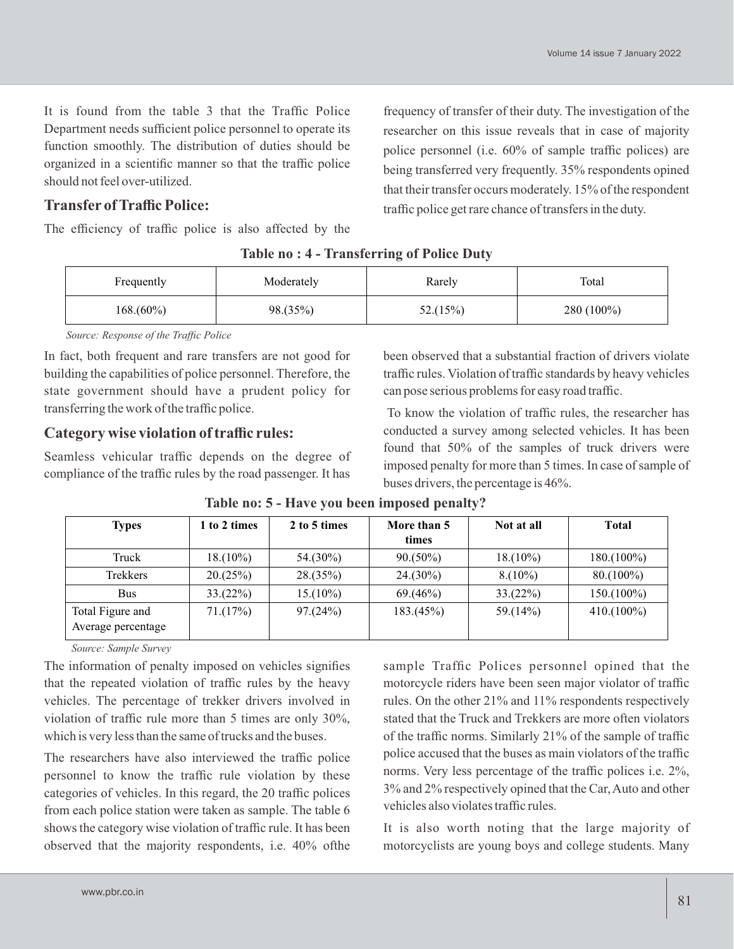It is found from the table 3 that the Traffic Police Department needs sufficient police personnel to operate its function smoothly. The distribution of duties should be organized in a scientific manner so that the traffic police should not feel over-utilized.

## **Transfer of Traffic Police:**

The efficiency of traffic police is also affected by the

frequency of transfer of their duty. The investigation of the researcher on this issue reveals that in case of majority police personnel (i.e. 60% of sample traffic polices) are being transferred very frequently. 35% respondents opined that their transfer occurs moderately. 15% of the respondent traffic police get rare chance of transfers in the duty.

| Frequently   | Moderately | Rarely   | Total        |
|--------------|------------|----------|--------------|
| $168.(60\%)$ | 98.(35%)   | 52.(15%) | $280(100\%)$ |

|  |  | Table no: 4 - Transferring of Police Duty |  |  |  |
|--|--|-------------------------------------------|--|--|--|
|--|--|-------------------------------------------|--|--|--|

*Source: Response of the Traffic Police*

In fact, both frequent and rare transfers are not good for building the capabilities of police personnel. Therefore, the state government should have a prudent policy for transferring the work of the traffic police.

## **Category wise violation of traffic rules:**

Seamless vehicular traffic depends on the degree of compliance of the traffic rules by the road passenger. It has been observed that a substantial fraction of drivers violate traffic rules. Violation of traffic standards by heavy vehicles can pose serious problems for easy road traffic.

To know the violation of traffic rules, the researcher has conducted a survey among selected vehicles. It has been found that 50% of the samples of truck drivers were imposed penalty for more than 5 times. In case of sample of buses drivers, the percentage is 46%.

| <b>Types</b>                           | 1 to 2 times | 2 to 5 times | More than 5<br>times | Not at all  | <b>Total</b>  |
|----------------------------------------|--------------|--------------|----------------------|-------------|---------------|
| Truck                                  | $18.(10\%)$  | $54.(30\%)$  | $90.(50\%)$          | $18.(10\%)$ | $180.(100\%)$ |
| Trekkers                               | 20. (25%)    | 28.(35%)     | $24.(30\%)$          | $8. (10\%)$ | $80.(100\%)$  |
| <b>Bus</b>                             | $33.(22\%)$  | $15.(10\%)$  | 69(46%)              | $33.(22\%)$ | $150.(100\%)$ |
| Total Figure and<br>Average percentage | 71.(17%)     | 97. (24%)    | 183.(45%)            | 59.(14%)    | $410.(100\%)$ |

**Table no: 5 - Have you been imposed penalty?** 

 *Source: Sample Survey*

The information of penalty imposed on vehicles signifies that the repeated violation of traffic rules by the heavy vehicles. The percentage of trekker drivers involved in violation of traffic rule more than 5 times are only 30%, which is very less than the same of trucks and the buses.

The researchers have also interviewed the traffic police personnel to know the traffic rule violation by these categories of vehicles. In this regard, the 20 traffic polices from each police station were taken as sample. The table 6 shows the category wise violation of traffic rule. It has been observed that the majority respondents, i.e. 40% ofthe sample Traffic Polices personnel opined that the motorcycle riders have been seen major violator of traffic rules. On the other 21% and 11% respondents respectively stated that the Truck and Trekkers are more often violators of the traffic norms. Similarly 21% of the sample of traffic police accused that the buses as main violators of the traffic norms. Very less percentage of the traffic polices i.e. 2%, 3% and 2% respectively opined that the Car, Auto and other vehicles also violates traffic rules.

It is also worth noting that the large majority of motorcyclists are young boys and college students. Many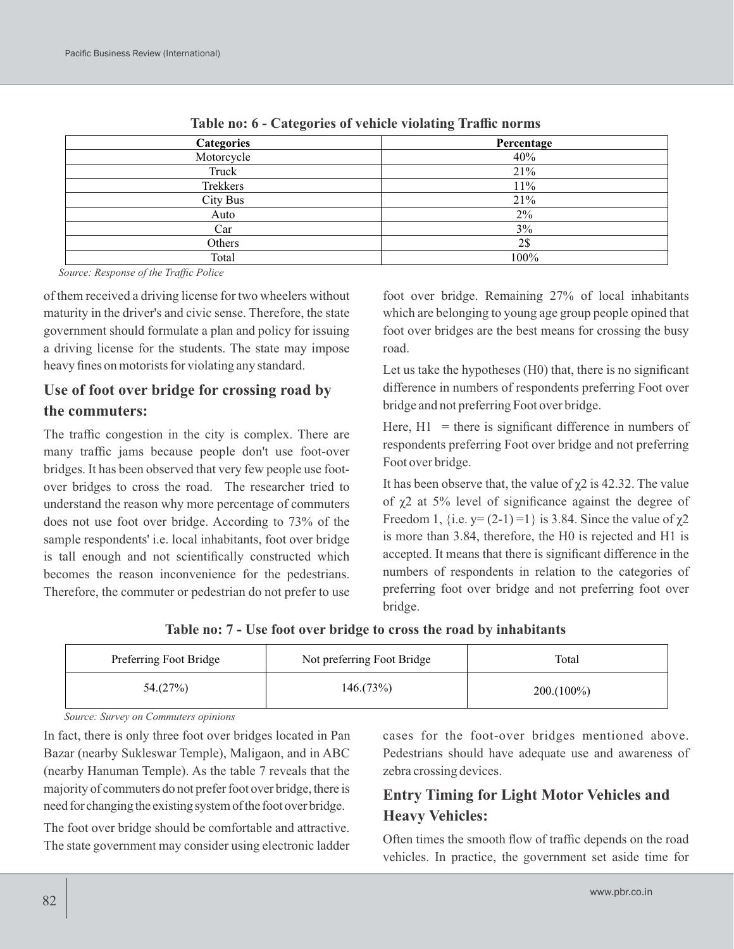| <b>Categories</b> | Percentage |
|-------------------|------------|
| Motorcycle        | 40%        |
| Truck             | 21%        |
| Trekkers          | 11%        |
| City Bus          | 21%        |
| Auto              | $2\%$      |
| Car               | $3\%$      |
| Others            | 2\$        |
| Total             | 100%       |

**Table no: 6 - Categories of vehicle violating Traffic norms**

*Source: Response of the Traffic Police*

of them received a driving license for two wheelers without maturity in the driver's and civic sense. Therefore, the state government should formulate a plan and policy for issuing a driving license for the students. The state may impose heavy fines on motorists for violating any standard.

# **Use of foot over bridge for crossing road by the commuters:**

The traffic congestion in the city is complex. There are many traffic jams because people don't use foot-over bridges. It has been observed that very few people use footover bridges to cross the road. The researcher tried to understand the reason why more percentage of commuters does not use foot over bridge. According to 73% of the sample respondents' i.e. local inhabitants, foot over bridge is tall enough and not scientifically constructed which becomes the reason inconvenience for the pedestrians. Therefore, the commuter or pedestrian do not prefer to use foot over bridge. Remaining 27% of local inhabitants which are belonging to young age group people opined that foot over bridges are the best means for crossing the busy road.

Let us take the hypotheses (H0) that, there is no significant difference in numbers of respondents preferring Foot over bridge and not preferring Foot over bridge.

Here,  $H1$  = there is significant difference in numbers of respondents preferring Foot over bridge and not preferring Foot over bridge.

It has been observe that, the value of  $\chi$ 2 is 42.32. The value of χ2 at 5% level of significance against the degree of Freedom 1, {i.e.  $y=(2-1)=1$ } is 3.84. Since the value of  $\chi$ 2 is more than 3.84, therefore, the H0 is rejected and H1 is accepted. It means that there is significant difference in the numbers of respondents in relation to the categories of preferring foot over bridge and not preferring foot over bridge.

**Table no: 7 - Use foot over bridge to cross the road by inhabitants**

| Preferring Foot Bridge | Not preferring Foot Bridge | Total         |
|------------------------|----------------------------|---------------|
| 54.(27%)               | 146.(73%)                  | $200.(100\%)$ |

*Source: Survey on Commuters opinions*

In fact, there is only three foot over bridges located in Pan Bazar (nearby Sukleswar Temple), Maligaon, and in ABC (nearby Hanuman Temple). As the table 7 reveals that the majority of commuters do not prefer foot over bridge, there is need for changing the existing system of the foot over bridge.

The foot over bridge should be comfortable and attractive. The state government may consider using electronic ladder cases for the foot-over bridges mentioned above. Pedestrians should have adequate use and awareness of zebra crossing devices.

# **Entry Timing for Light Motor Vehicles and Heavy Vehicles:**

Often times the smooth flow of traffic depends on the road vehicles. In practice, the government set aside time for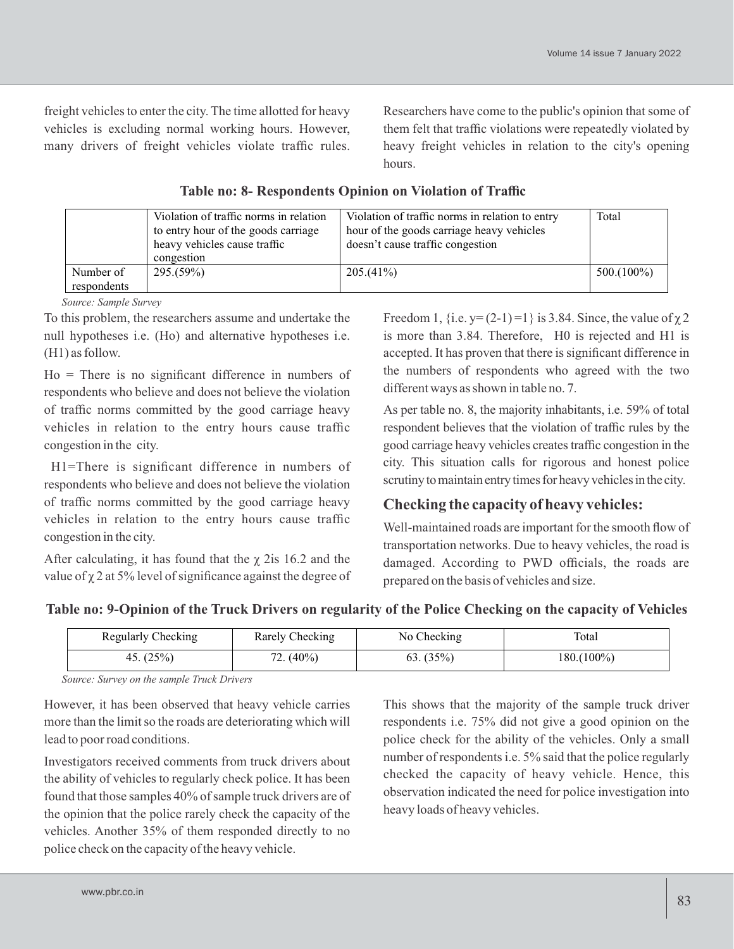freight vehicles to enter the city. The time allotted for heavy vehicles is excluding normal working hours. However, many drivers of freight vehicles violate traffic rules.

Researchers have come to the public's opinion that some of them felt that traffic violations were repeatedly violated by heavy freight vehicles in relation to the city's opening hours.

|                          | Violation of traffic norms in relation<br>to entry hour of the goods carriage<br>heavy vehicles cause traffic<br>congestion | Violation of traffic norms in relation to entry<br>hour of the goods carriage heavy vehicles<br>doesn't cause traffic congestion | Total         |
|--------------------------|-----------------------------------------------------------------------------------------------------------------------------|----------------------------------------------------------------------------------------------------------------------------------|---------------|
| Number of<br>respondents | 295.(59%)                                                                                                                   | 205.(41%)                                                                                                                        | $500.(100\%)$ |

### **Table no: 8- Respondents Opinion on Violation of Traffic**

*Source: Sample Survey*

To this problem, the researchers assume and undertake the null hypotheses i.e. (Ho) and alternative hypotheses i.e. (H1) as follow.

Ho = There is no significant difference in numbers of respondents who believe and does not believe the violation of traffic norms committed by the good carriage heavy vehicles in relation to the entry hours cause traffic congestion in the city.

H1=There is significant difference in numbers of respondents who believe and does not believe the violation of traffic norms committed by the good carriage heavy vehicles in relation to the entry hours cause traffic congestion in the city.

After calculating, it has found that the  $\chi$  2is 16.2 and the value of  $\chi$  2 at 5% level of significance against the degree of Freedom 1, {i.e.  $y=(2-1)=1$ } is 3.84. Since, the value of  $\chi$  2 is more than 3.84. Therefore, H0 is rejected and H1 is accepted. It has proven that there is significant difference in the numbers of respondents who agreed with the two different ways as shown in table no. 7.

As per table no. 8, the majority inhabitants, i.e. 59% of total respondent believes that the violation of traffic rules by the good carriage heavy vehicles createstraffic congestion in the city. This situation calls for rigorous and honest police scrutiny to maintain entry times for heavy vehicles in the city.

# **Checking the capacity of heavy vehicles:**

Well-maintained roads are important for the smooth flow of transportation networks. Due to heavy vehicles, the road is damaged. According to PWD officials, the roads are prepared on the basis of vehicles and size.

## **Table no: 9-Opinion of the Truck Drivers on regularity of the Police Checking on the capacity of Vehicles**

| <b>Regularly Checking</b> | Rarely Checking  | No Checking  | Total         |
|---------------------------|------------------|--------------|---------------|
| 45. $(25%)$               | 72. (40%)<br>70. | $63. (35\%)$ | $180.(100\%)$ |

*Source: Survey on the sample Truck Drivers*

However, it has been observed that heavy vehicle carries more than the limit so the roads are deteriorating which will lead to poor road conditions.

Investigators received comments from truck drivers about the ability of vehicles to regularly check police. It has been found that those samples 40% of sample truck drivers are of the opinion that the police rarely check the capacity of the vehicles. Another 35% of them responded directly to no police check on the capacity of the heavy vehicle.

This shows that the majority of the sample truck driver respondents i.e. 75% did not give a good opinion on the police check for the ability of the vehicles. Only a small number of respondents i.e. 5% said that the police regularly checked the capacity of heavy vehicle. Hence, this observation indicated the need for police investigation into heavy loads of heavy vehicles.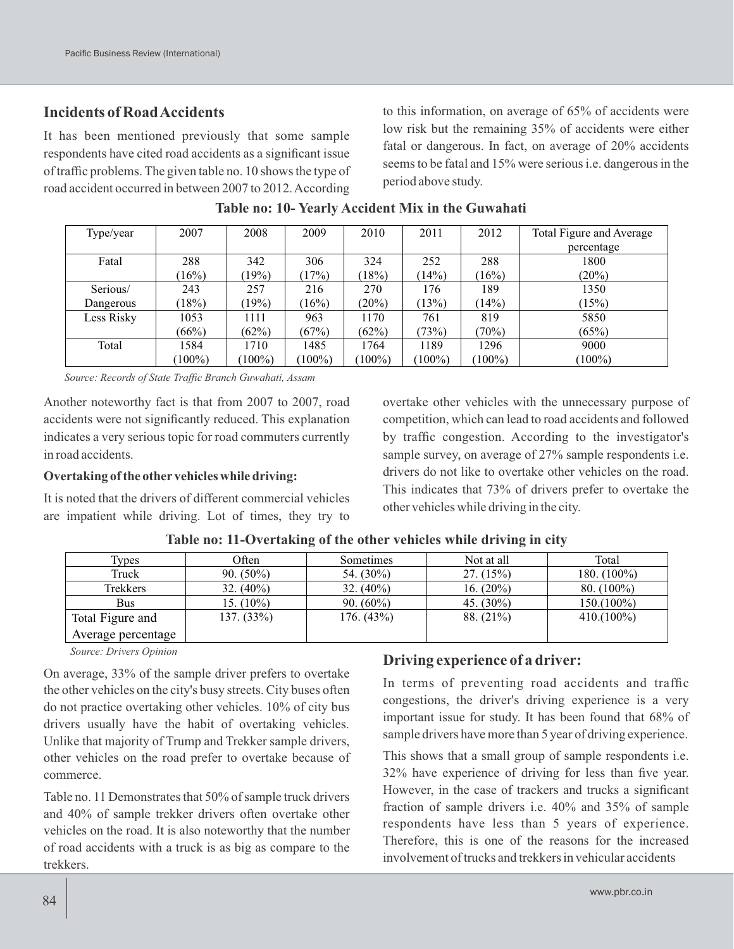## **Incidents of Road Accidents**

It has been mentioned previously that some sample respondents have cited road accidents as a significant issue of traffic problems. The given table no. 10 shows the type of road accident occurred in between 2007 to 2012. According to this information, on average of 65% of accidents were low risk but the remaining 35% of accidents were either fatal or dangerous. In fact, on average of 20% accidents seems to be fatal and 15% were serious i.e. dangerous in the period above study.

| Type/year  | 2007    | 2008      | 2009      | 2010    | 2011    | 2012      | Total Figure and Average |
|------------|---------|-----------|-----------|---------|---------|-----------|--------------------------|
|            |         |           |           |         |         |           | percentage               |
| Fatal      | 288     | 342       | 306       | 324     | 252     | 288       | 1800                     |
|            | (16%)   | (19%)     | (17%)     | $18\%)$ | (14%)   | $16\%)$   | (20%)                    |
| Serious/   | 243     | 257       | 216       | 270     | 176     | 189       | 1350                     |
| Dangerous  | (18%)   | $19\%)$   | (16%)     | (20%)   | (13%)   | (14%)     | (15%)                    |
| Less Risky | 1053    | 1111      | 963       | 1170    | 761     | 819       | 5850                     |
|            | (66%)   | (62%)     | (67%)     | (62%)   | (73%)   | (70%)     | (65%)                    |
| Total      | 1584    | 1710      | 1485      | 1764    | 1189    | 1296      | 9000                     |
|            | $100\%$ | $(100\%)$ | $(100\%)$ | $100\%$ | $100\%$ | $(100\%)$ | $100\%$                  |

**Table no: 10- Yearly Accident Mix in the Guwahati**

*Source: Records of State Traffic Branch Guwahati, Assam*

Another noteworthy fact is that from 2007 to 2007, road accidents were not significantly reduced. This explanation indicates a very serious topic for road commuters currently in road accidents.

#### **Overtaking of the other vehicles while driving:**

It is noted that the drivers of different commercial vehicles are impatient while driving. Lot of times, they try to overtake other vehicles with the unnecessary purpose of competition, which can lead to road accidents and followed by traffic congestion. According to the investigator's sample survey, on average of 27% sample respondents i.e. drivers do not like to overtake other vehicles on the road. This indicates that 73% of drivers prefer to overtake the other vehicles while driving in the city.

| <b>Types</b>       | Often         | Sometimes     | Not at all   | Total          |
|--------------------|---------------|---------------|--------------|----------------|
| Truck              | $90. (50\%)$  | 54. $(30\%)$  | $27. (15\%)$ | 180. $(100\%)$ |
| Trekkers           | 32. $(40\%)$  | $32. (40\%)$  | 16. $(20\%)$ | $80. (100\%)$  |
| Bus                | 15. $(10\%)$  | $90. (60\%)$  | 45. $(30\%)$ | 150.(100%)     |
| Total Figure and   | $137. (33\%)$ | $176. (43\%)$ | $88. (21\%)$ | $410.(100\%)$  |
| Average percentage |               |               |              |                |

**Table no: 11-Overtaking of the other vehicles while driving in city**

*Source: Drivers Opinion*

On average, 33% of the sample driver prefers to overtake the other vehicles on the city's busy streets. City buses often do not practice overtaking other vehicles. 10% of city bus drivers usually have the habit of overtaking vehicles. Unlike that majority of Trump and Trekker sample drivers, other vehicles on the road prefer to overtake because of commerce.

Table no. 11 Demonstrates that 50% of sample truck drivers and 40% of sample trekker drivers often overtake other vehicles on the road. It is also noteworthy that the number of road accidents with a truck is as big as compare to the trekkers.

## **Driving experience of a driver:**

In terms of preventing road accidents and traffic congestions, the driver's driving experience is a very important issue for study. It has been found that 68% of sample drivers have more than 5 year of driving experience.

This shows that a small group of sample respondents i.e. 32% have experience of driving for less than five year. However, in the case of trackers and trucks a significant fraction of sample drivers i.e. 40% and 35% of sample respondents have less than 5 years of experience. Therefore, this is one of the reasons for the increased involvement of trucks and trekkers in vehicular accidents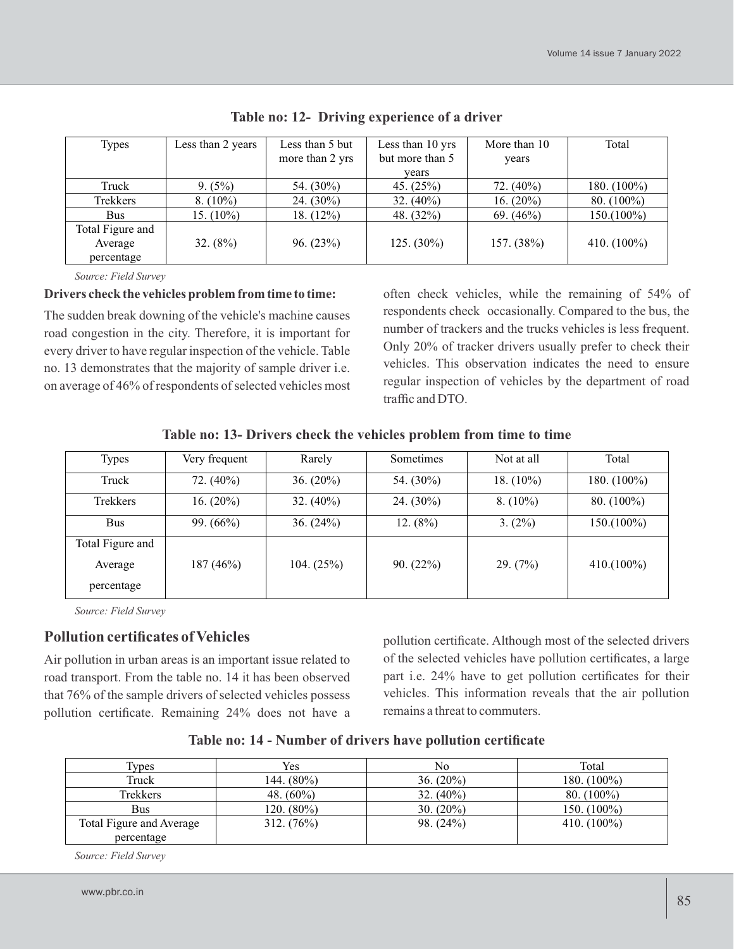| <b>Types</b>     | Less than 2 years | Less than 5 but | Less than 10 yrs | More than 10 | Total          |
|------------------|-------------------|-----------------|------------------|--------------|----------------|
|                  |                   | more than 2 yrs | but more than 5  | years        |                |
|                  |                   |                 | vears            |              |                |
| Truck            | $9. (5\%)$        | 54. $(30\%)$    | 45. $(25%)$      | 72. $(40\%)$ | 180. $(100\%)$ |
| Trekkers         | $8. (10\%)$       | 24. $(30\%)$    | 32. $(40\%)$     | 16. $(20\%)$ | $80. (100\%)$  |
| <b>Bus</b>       | 15. $(10\%)$      | 18. $(12\%)$    | 48. $(32\%)$     | $69. (46\%)$ | $150.(100\%)$  |
| Total Figure and |                   |                 |                  |              |                |
| Average          | $32. (8\%)$       | 96. (23%)       | $125. (30\%)$    | 157. (38%)   | 410. $(100\%)$ |
| percentage       |                   |                 |                  |              |                |

**Table no: 12- Driving experience of a driver**

*Source: Field Survey*

#### **Drivers check the vehicles problem from time to time:**

The sudden break downing of the vehicle's machine causes road congestion in the city. Therefore, it is important for every driver to have regular inspection of the vehicle. Table no. 13 demonstrates that the majority of sample driver i.e. on average of 46% of respondents of selected vehicles most

often check vehicles, while the remaining of 54% of respondents check occasionally. Compared to the bus, the number of trackers and the trucks vehicles is less frequent. Only 20% of tracker drivers usually prefer to check their vehicles. This observation indicates the need to ensure regular inspection of vehicles by the department of road traffic and DTO.

**Table no: 13- Drivers check the vehicles problem from time to time**

| <b>Types</b>     | Very frequent | Rarely       | Sometimes    | Not at all   | Total          |
|------------------|---------------|--------------|--------------|--------------|----------------|
| Truck            | 72. $(40\%)$  | 36. $(20\%)$ | 54. $(30\%)$ | 18. $(10\%)$ | 180. $(100\%)$ |
| Trekkers         | 16. $(20\%)$  | 32. $(40\%)$ | 24. $(30\%)$ | $8. (10\%)$  | $80. (100\%)$  |
| <b>Bus</b>       | 99. $(66\%)$  | 36. $(24%)$  | 12. $(8%)$   | $3. (2\%)$   | $150.(100\%)$  |
| Total Figure and |               |              |              |              |                |
| Average          | 187(46%)      | 104. $(25%)$ | $90. (22\%)$ | 29. (7%)     | $410.(100\%)$  |
| percentage       |               |              |              |              |                |

*Source: Field Survey*

### **Pollution certificates of Vehicles**

Air pollution in urban areas is an important issue related to road transport. From the table no. 14 it has been observed that 76% of the sample drivers of selected vehicles possess pollution certificate. Remaining 24% does not have a

pollution certificate. Although most of the selected drivers of the selected vehicles have pollution certificates, a large part i.e. 24% have to get pollution certificates for their vehicles. This information reveals that the air pollution remains a threat to commuters.

| <b>Types</b>             | Yes           | No           | Total          |
|--------------------------|---------------|--------------|----------------|
| Truck                    | 144. (80%)    | $36. (20\%)$ | 180. $(100\%)$ |
| Trekkers                 | 48. $(60\%)$  | $32. (40\%)$ | $80. (100\%)$  |
| Bus                      | 120. $(80\%)$ | $30. (20\%)$ | 150. $(100\%)$ |
| Total Figure and Average | $312. (76\%)$ | 98. (24%)    | 410. $(100\%)$ |
| percentage               |               |              |                |

**Table no: 14 - Number of drivers have pollution certificate**

*Source: Field Survey*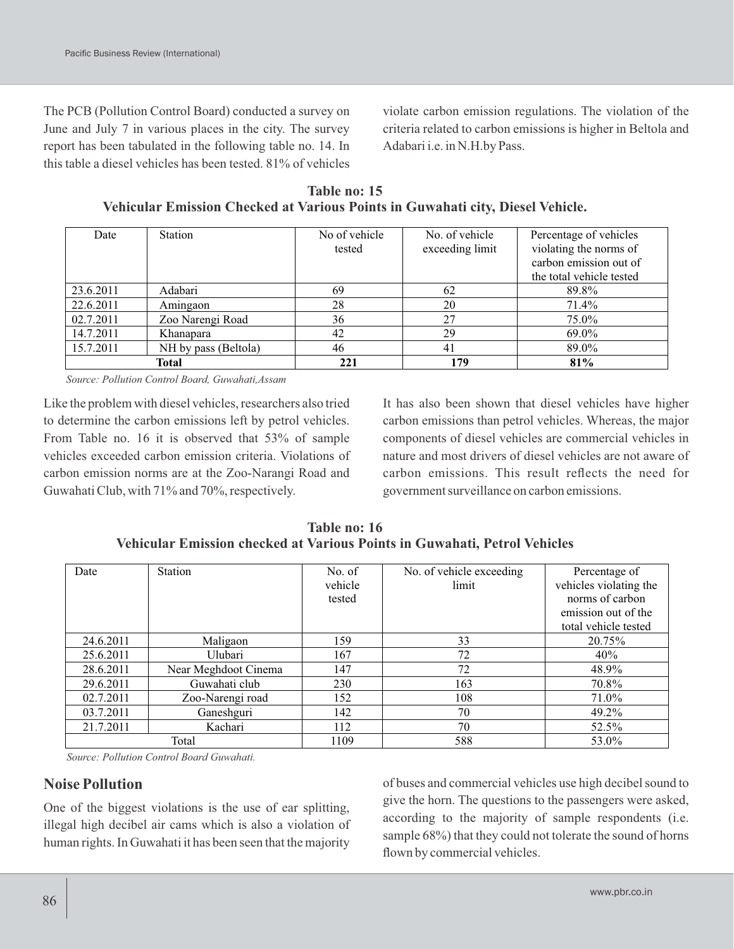The PCB (Pollution Control Board) conducted a survey on June and July 7 in various places in the city. The survey report has been tabulated in the following table no. 14. In this table a diesel vehicles has been tested. 81% of vehicles violate carbon emission regulations. The violation of the criteria related to carbon emissions is higher in Beltola and Adabari i.e. in N.H.by Pass.

**Table no: 15 Vehicular Emission Checked at Various Points in Guwahati city, Diesel Vehicle.**

| Date      | Station              | No of vehicle | No. of vehicle  | Percentage of vehicles   |
|-----------|----------------------|---------------|-----------------|--------------------------|
|           |                      | tested        | exceeding limit | violating the norms of   |
|           |                      |               |                 | carbon emission out of   |
|           |                      |               |                 | the total vehicle tested |
| 23.6.2011 | Adabari              | 69            | 62              | 89.8%                    |
| 22.6.2011 | Amingaon             | 28            | 20              | 71.4%                    |
| 02.7.2011 | Zoo Narengi Road     | 36            | 27              | 75.0%                    |
| 14.7.2011 | Khanapara            | 42            | 29              | 69.0%                    |
| 15.7.2011 | NH by pass (Beltola) | 46            | 41              | 89.0%                    |
|           | Total                | 221           | 179             | 81%                      |

*Source: Pollution Control Board, Guwahati,Assam*

Like the problem with diesel vehicles, researchers also tried to determine the carbon emissions left by petrol vehicles. From Table no. 16 it is observed that 53% of sample vehicles exceeded carbon emission criteria. Violations of carbon emission norms are at the Zoo-Narangi Road and Guwahati Club, with 71% and 70%, respectively.

It has also been shown that diesel vehicles have higher carbon emissions than petrol vehicles. Whereas, the major components of diesel vehicles are commercial vehicles in nature and most drivers of diesel vehicles are not aware of carbon emissions. This result reflects the need for government surveillance on carbon emissions.

**Table no: 16 Vehicular Emission checked at Various Points in Guwahati, Petrol Vehicles**

| Date      | Station              | No. of  | No. of vehicle exceeding | Percentage of          |
|-----------|----------------------|---------|--------------------------|------------------------|
|           |                      | vehicle | limit                    | vehicles violating the |
|           |                      | tested  |                          | norms of carbon        |
|           |                      |         |                          | emission out of the    |
|           |                      |         |                          | total vehicle tested   |
| 24.6.2011 | Maligaon             | 159     | 33                       | 20.75%                 |
| 25.6.2011 | Ulubari              | 167     | 72                       | 40%                    |
| 28.6.2011 | Near Meghdoot Cinema | 147     | 72                       | 48.9%                  |
| 29.6.2011 | Guwahati club        | 230     | 163                      | 70.8%                  |
| 02.7.2011 | Zoo-Narengi road     | 152     | 108                      | 71.0%                  |
| 03.7.2011 | Ganeshguri           | 142     | 70                       | 49.2%                  |
| 21.7.2011 | Kachari              | 112     | 70                       | 52.5%                  |
| Total     |                      | 1109    | 588                      | 53.0%                  |

*Source: Pollution Control Board Guwahati.*

### **Noise Pollution**

One of the biggest violations is the use of ear splitting, illegal high decibel air cams which is also a violation of human rights. In Guwahati it has been seen that the majority

of buses and commercial vehicles use high decibel sound to give the horn. The questions to the passengers were asked, according to the majority of sample respondents (i.e. sample 68%) that they could not tolerate the sound of horns flown by commercial vehicles.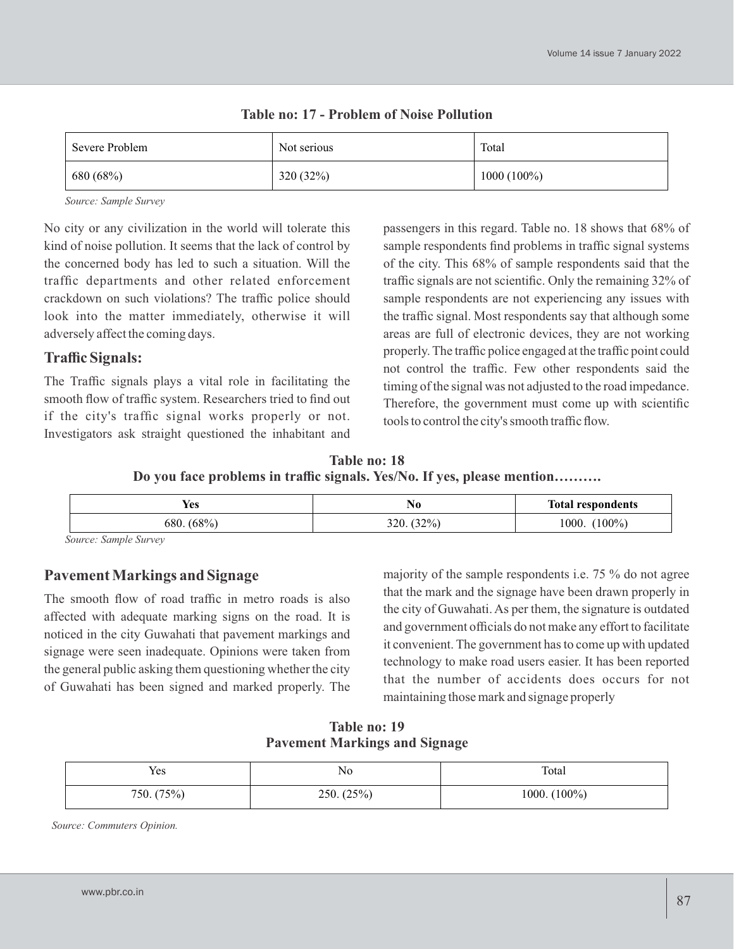| Severe Problem | Not serious | Total         |
|----------------|-------------|---------------|
| 680 (68%)      | 320 (32%)   | $1000(100\%)$ |

**Table no: 17 - Problem of Noise Pollution**

*Source: Sample Survey*

No city or any civilization in the world will tolerate this kind of noise pollution. It seems that the lack of control by the concerned body has led to such a situation. Will the traffic departments and other related enforcement crackdown on such violations? The traffic police should look into the matter immediately, otherwise it will adversely affect the coming days.

## **Traffic Signals:**

The Traffic signals plays a vital role in facilitating the smooth flow of traffic system. Researchers tried to find out if the city's traffic signal works properly or not. Investigators ask straight questioned the inhabitant and passengers in this regard. Table no. 18 shows that 68% of sample respondents find problems in traffic signal systems of the city. This 68% of sample respondents said that the traffic signals are not scientific. Only the remaining 32% of sample respondents are not experiencing any issues with the traffic signal. Most respondents say that although some areas are full of electronic devices, they are not working properly. The traffic police engaged at the traffic point could not control the traffic. Few other respondents said the timing of the signal was not adjusted to the road impedance. Therefore, the government must come up with scientific tools to control the city's smooth traffic flow.

**Table no: 18 Do you face problems in traffic signals. Yes/No. If yes, please mention……….**

| . .<br>Yes    | 14 U          | <b>Total respondents</b> |
|---------------|---------------|--------------------------|
| $680. (68\%)$ | (32%)<br>320. | $100\%$<br>1000.         |

*Source: Sample Survey*

# **Pavement Markings and Signage**

The smooth flow of road traffic in metro roads is also affected with adequate marking signs on the road. It is noticed in the city Guwahati that pavement markings and signage were seen inadequate. Opinions were taken from the general public asking them questioning whether the city of Guwahati has been signed and marked properly. The majority of the sample respondents i.e. 75 % do not agree that the mark and the signage have been drawn properly in the city of Guwahati. As per them, the signature is outdated and government officials do not make any effort to facilitate it convenient. The government has to come up with updated technology to make road users easier. It has been reported that the number of accidents does occurs for not maintaining those mark and signage properly

**Table no: 19 Pavement Markings and Signage**

| <b>T</b> T<br>Yes | No         | Total           |
|-------------------|------------|-----------------|
| 750. (75%)        | 250. (25%) | 1000. $(100\%)$ |

*Source: Commuters Opinion.*